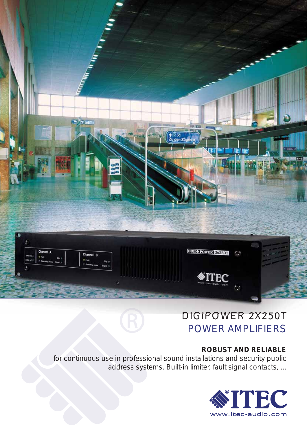

# DIGIPOWER 2X250T POWER AMPLIFIERS

## **ROBUST AND RELIABLE**

for continuous use in professional sound installations and security public address systems. Built-in limiter, fault signal contacts, ...

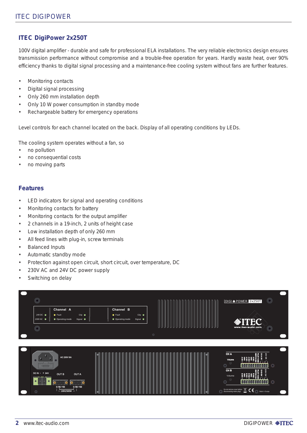### **ITEC DigiPower 2x250T**

100V digital amplifier - durable and safe for professional ELA installations. The very reliable electronics design ensures transmission performance without compromise and a trouble-free operation for years. Hardly waste heat, over 90% efficiency thanks to digital signal processing and a maintenance-free cooling system without fans are further features.

- Monitoring contacts •
- Digital signal processing •
- Only 260 mm installation depth •
- Only 10 W power consumption in standby mode •
- Rechargeable battery for emergency operations •

Level controls for each channel located on the back. Display of all operating conditions by LEDs.

The cooling system operates without a fan, so

- no pollution •
- no consequential costs •
- no moving parts •

#### **Features**

- LED indicators for signal and operating conditions •
- Monitoring contacts for battery •
- Monitoring contacts for the output amplifier •
- 2 channels in a 19-inch, 2 units of height case •
- Low installation depth of only 260 mm •
- All feed lines with plug-in, screw terminals •
- Balanced Inputs •
- Automatic standby mode •
- Protection against open circuit, short circuit, over temperature, DC •
- 230V AC and 24V DC power supply •
- Switching on delay •

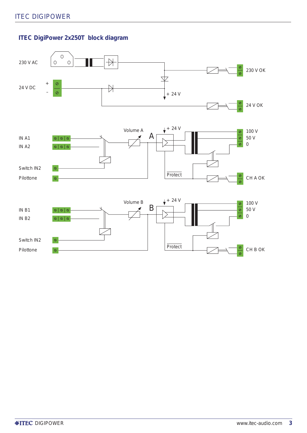## **ITEC DigiPower 2x250T block diagram**